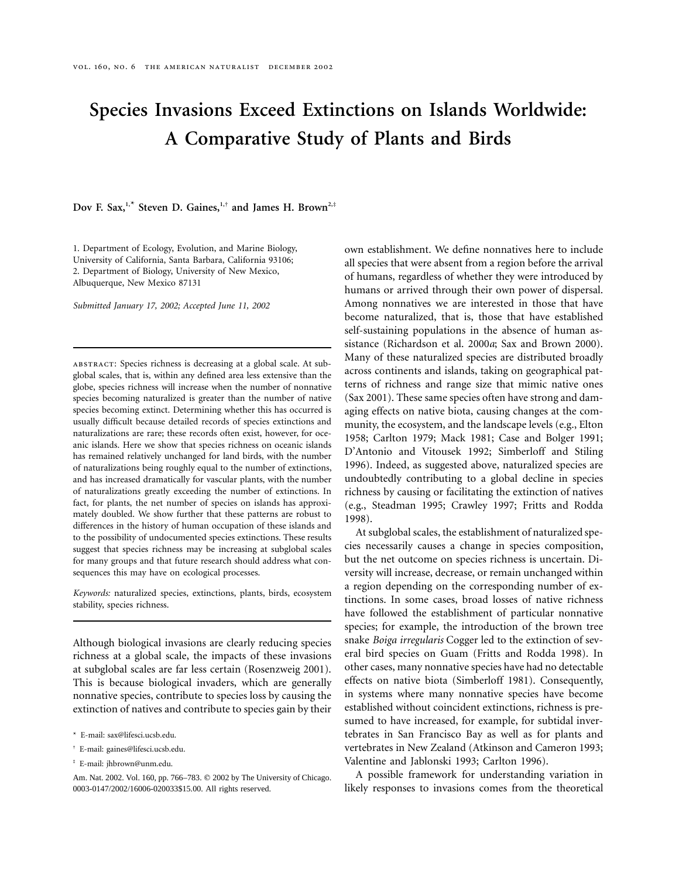# **Species Invasions Exceed Extinctions on Islands Worldwide: A Comparative Study of Plants and Birds**

**Dov F. Sax,1,\* Steven D. Gaines,1,**† **and James H. Brown2,**‡

1. Department of Ecology, Evolution, and Marine Biology, University of California, Santa Barbara, California 93106; 2. Department of Biology, University of New Mexico, Albuquerque, New Mexico 87131

*Submitted January 17, 2002; Accepted June 11, 2002*

abstract: Species richness is decreasing at a global scale. At subglobal scales, that is, within any defined area less extensive than the globe, species richness will increase when the number of nonnative species becoming naturalized is greater than the number of native species becoming extinct. Determining whether this has occurred is usually difficult because detailed records of species extinctions and naturalizations are rare; these records often exist, however, for oceanic islands. Here we show that species richness on oceanic islands has remained relatively unchanged for land birds, with the number of naturalizations being roughly equal to the number of extinctions, and has increased dramatically for vascular plants, with the number of naturalizations greatly exceeding the number of extinctions. In fact, for plants, the net number of species on islands has approximately doubled. We show further that these patterns are robust to differences in the history of human occupation of these islands and to the possibility of undocumented species extinctions. These results suggest that species richness may be increasing at subglobal scales for many groups and that future research should address what consequences this may have on ecological processes.

*Keywords:* naturalized species, extinctions, plants, birds, ecosystem stability, species richness.

Although biological invasions are clearly reducing species richness at a global scale, the impacts of these invasions at subglobal scales are far less certain (Rosenzweig 2001). This is because biological invaders, which are generally nonnative species, contribute to species loss by causing the extinction of natives and contribute to species gain by their

- † E-mail: gaines@lifesci.ucsb.edu.
- ‡ E-mail: jhbrown@unm.edu.

own establishment. We define nonnatives here to include all species that were absent from a region before the arrival of humans, regardless of whether they were introduced by humans or arrived through their own power of dispersal. Among nonnatives we are interested in those that have become naturalized, that is, those that have established self-sustaining populations in the absence of human assistance (Richardson et al. 2000*a*; Sax and Brown 2000). Many of these naturalized species are distributed broadly across continents and islands, taking on geographical patterns of richness and range size that mimic native ones (Sax 2001). These same species often have strong and damaging effects on native biota, causing changes at the community, the ecosystem, and the landscape levels (e.g., Elton 1958; Carlton 1979; Mack 1981; Case and Bolger 1991; D'Antonio and Vitousek 1992; Simberloff and Stiling 1996). Indeed, as suggested above, naturalized species are undoubtedly contributing to a global decline in species richness by causing or facilitating the extinction of natives (e.g., Steadman 1995; Crawley 1997; Fritts and Rodda 1998).

At subglobal scales, the establishment of naturalized species necessarily causes a change in species composition, but the net outcome on species richness is uncertain. Diversity will increase, decrease, or remain unchanged within a region depending on the corresponding number of extinctions. In some cases, broad losses of native richness have followed the establishment of particular nonnative species; for example, the introduction of the brown tree snake *Boiga irregularis* Cogger led to the extinction of several bird species on Guam (Fritts and Rodda 1998). In other cases, many nonnative species have had no detectable effects on native biota (Simberloff 1981). Consequently, in systems where many nonnative species have become established without coincident extinctions, richness is presumed to have increased, for example, for subtidal invertebrates in San Francisco Bay as well as for plants and vertebrates in New Zealand (Atkinson and Cameron 1993; Valentine and Jablonski 1993; Carlton 1996).

A possible framework for understanding variation in likely responses to invasions comes from the theoretical

<sup>\*</sup> E-mail: sax@lifesci.ucsb.edu.

Am. Nat. 2002. Vol. 160, pp. 766-783. © 2002 by The University of Chicago. 0003-0147/2002/16006-020033\$15.00. All rights reserved.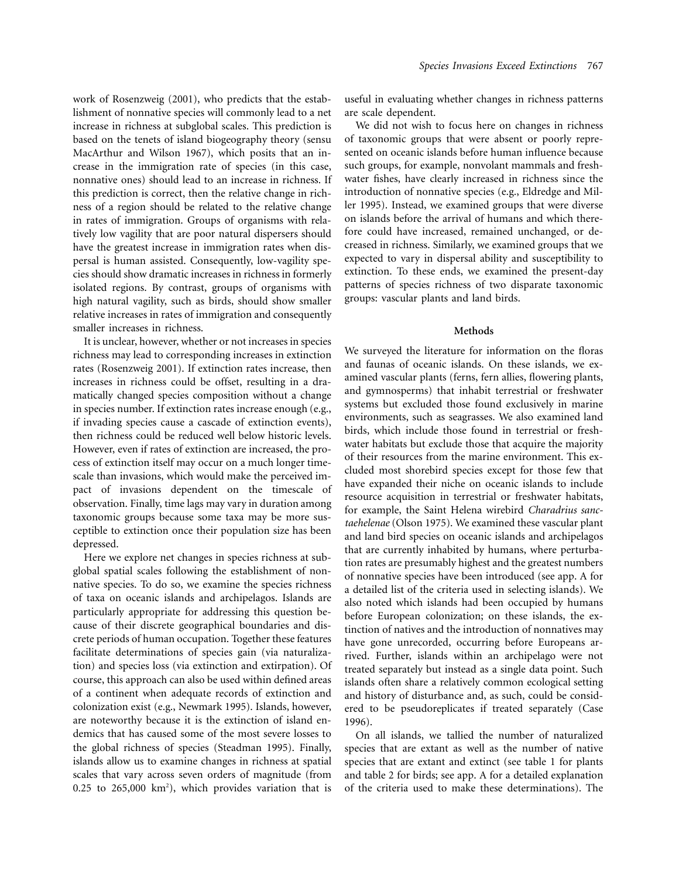work of Rosenzweig (2001), who predicts that the establishment of nonnative species will commonly lead to a net increase in richness at subglobal scales. This prediction is based on the tenets of island biogeography theory (sensu MacArthur and Wilson 1967), which posits that an increase in the immigration rate of species (in this case, nonnative ones) should lead to an increase in richness. If this prediction is correct, then the relative change in richness of a region should be related to the relative change in rates of immigration. Groups of organisms with relatively low vagility that are poor natural dispersers should have the greatest increase in immigration rates when dispersal is human assisted. Consequently, low-vagility species should show dramatic increases in richness in formerly isolated regions. By contrast, groups of organisms with high natural vagility, such as birds, should show smaller relative increases in rates of immigration and consequently smaller increases in richness.

It is unclear, however, whether or not increases in species richness may lead to corresponding increases in extinction rates (Rosenzweig 2001). If extinction rates increase, then increases in richness could be offset, resulting in a dramatically changed species composition without a change in species number. If extinction rates increase enough (e.g., if invading species cause a cascade of extinction events), then richness could be reduced well below historic levels. However, even if rates of extinction are increased, the process of extinction itself may occur on a much longer timescale than invasions, which would make the perceived impact of invasions dependent on the timescale of observation. Finally, time lags may vary in duration among taxonomic groups because some taxa may be more susceptible to extinction once their population size has been depressed.

Here we explore net changes in species richness at subglobal spatial scales following the establishment of nonnative species. To do so, we examine the species richness of taxa on oceanic islands and archipelagos. Islands are particularly appropriate for addressing this question because of their discrete geographical boundaries and discrete periods of human occupation. Together these features facilitate determinations of species gain (via naturalization) and species loss (via extinction and extirpation). Of course, this approach can also be used within defined areas of a continent when adequate records of extinction and colonization exist (e.g., Newmark 1995). Islands, however, are noteworthy because it is the extinction of island endemics that has caused some of the most severe losses to the global richness of species (Steadman 1995). Finally, islands allow us to examine changes in richness at spatial scales that vary across seven orders of magnitude (from  $0.25$  to  $265,000$  km<sup>2</sup>), which provides variation that is

are scale dependent. We did not wish to focus here on changes in richness of taxonomic groups that were absent or poorly represented on oceanic islands before human influence because such groups, for example, nonvolant mammals and freshwater fishes, have clearly increased in richness since the introduction of nonnative species (e.g., Eldredge and Miller 1995). Instead, we examined groups that were diverse on islands before the arrival of humans and which therefore could have increased, remained unchanged, or decreased in richness. Similarly, we examined groups that we expected to vary in dispersal ability and susceptibility to

extinction. To these ends, we examined the present-day patterns of species richness of two disparate taxonomic groups: vascular plants and land birds.

## **Methods**

We surveyed the literature for information on the floras and faunas of oceanic islands. On these islands, we examined vascular plants (ferns, fern allies, flowering plants, and gymnosperms) that inhabit terrestrial or freshwater systems but excluded those found exclusively in marine environments, such as seagrasses. We also examined land birds, which include those found in terrestrial or freshwater habitats but exclude those that acquire the majority of their resources from the marine environment. This excluded most shorebird species except for those few that have expanded their niche on oceanic islands to include resource acquisition in terrestrial or freshwater habitats, for example, the Saint Helena wirebird *Charadrius sanctaehelenae* (Olson 1975). We examined these vascular plant and land bird species on oceanic islands and archipelagos that are currently inhabited by humans, where perturbation rates are presumably highest and the greatest numbers of nonnative species have been introduced (see app. A for a detailed list of the criteria used in selecting islands). We also noted which islands had been occupied by humans before European colonization; on these islands, the extinction of natives and the introduction of nonnatives may have gone unrecorded, occurring before Europeans arrived. Further, islands within an archipelago were not treated separately but instead as a single data point. Such islands often share a relatively common ecological setting and history of disturbance and, as such, could be considered to be pseudoreplicates if treated separately (Case 1996).

On all islands, we tallied the number of naturalized species that are extant as well as the number of native species that are extant and extinct (see table 1 for plants and table 2 for birds; see app. A for a detailed explanation of the criteria used to make these determinations). The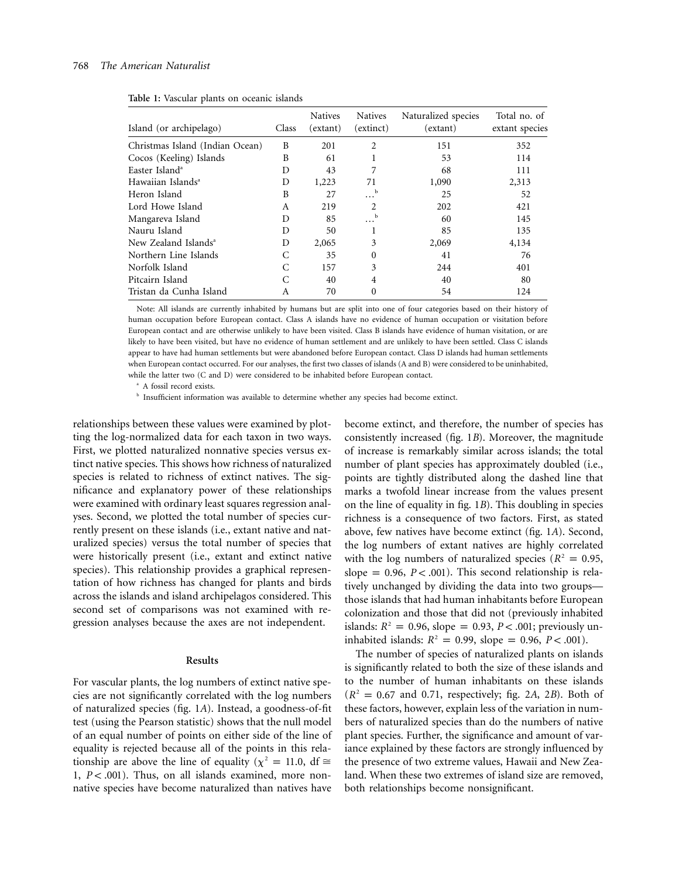| Island (or archipelago)          | Class | <b>Natives</b><br>(extant) | <b>Natives</b><br>(extinct) | Naturalized species<br>(extant) | Total no. of<br>extant species |
|----------------------------------|-------|----------------------------|-----------------------------|---------------------------------|--------------------------------|
| Christmas Island (Indian Ocean)  | B     | 201                        | 2                           | 151                             | 352                            |
| Cocos (Keeling) Islands          | B     | 61                         |                             | 53                              | 114                            |
| Easter Island <sup>a</sup>       | D     | 43                         |                             | 68                              | 111                            |
| Hawaiian Islands <sup>a</sup>    | D     | 1,223                      | 71                          | 1,090                           | 2,313                          |
| Heron Island                     | B     | 27                         | b<br>$\cdots$               | 25                              | 52                             |
| Lord Howe Island                 | A     | 219                        | 2                           | 202                             | 421                            |
| Mangareva Island                 | D     | 85                         | $\cdots$                    | 60                              | 145                            |
| Nauru Island                     | D     | 50                         |                             | 85                              | 135                            |
| New Zealand Islands <sup>a</sup> | D     | 2,065                      | 3                           | 2,069                           | 4,134                          |
| Northern Line Islands            | C     | 35                         | $\Omega$                    | 41                              | 76                             |
| Norfolk Island                   |       | 157                        | 3                           | 244                             | 401                            |
| Pitcairn Island                  | C     | 40                         | 4                           | 40                              | 80                             |
| Tristan da Cunha Island          | A     | 70                         | $\theta$                    | 54                              | 124                            |

**Table 1:** Vascular plants on oceanic islands

Note: All islands are currently inhabited by humans but are split into one of four categories based on their history of human occupation before European contact. Class A islands have no evidence of human occupation or visitation before European contact and are otherwise unlikely to have been visited. Class B islands have evidence of human visitation, or are likely to have been visited, but have no evidence of human settlement and are unlikely to have been settled. Class C islands appear to have had human settlements but were abandoned before European contact. Class D islands had human settlements when European contact occurred. For our analyses, the first two classes of islands (A and B) were considered to be uninhabited, while the latter two (C and D) were considered to be inhabited before European contact.

<sup>a</sup> A fossil record exists.

 $^{\rm b}$  Insufficient information was available to determine whether any species had become extinct.

relationships between these values were examined by plotting the log-normalized data for each taxon in two ways. First, we plotted naturalized nonnative species versus extinct native species. This shows how richness of naturalized species is related to richness of extinct natives. The significance and explanatory power of these relationships were examined with ordinary least squares regression analyses. Second, we plotted the total number of species currently present on these islands (i.e., extant native and naturalized species) versus the total number of species that were historically present (i.e., extant and extinct native species). This relationship provides a graphical representation of how richness has changed for plants and birds across the islands and island archipelagos considered. This second set of comparisons was not examined with regression analyses because the axes are not independent.

#### **Results**

For vascular plants, the log numbers of extinct native species are not significantly correlated with the log numbers of naturalized species (fig. 1*A*). Instead, a goodness-of-fit test (using the Pearson statistic) shows that the null model of an equal number of points on either side of the line of equality is rejected because all of the points in this relationship are above the line of equality ( $\chi^2 = 11.0$ , df  $\approx$ 1,  $P < .001$ ). Thus, on all islands examined, more nonnative species have become naturalized than natives have

become extinct, and therefore, the number of species has consistently increased (fig. 1*B*). Moreover, the magnitude of increase is remarkably similar across islands; the total number of plant species has approximately doubled (i.e., points are tightly distributed along the dashed line that marks a twofold linear increase from the values present on the line of equality in fig. 1*B*). This doubling in species richness is a consequence of two factors. First, as stated above, few natives have become extinct (fig. 1*A*). Second, the log numbers of extant natives are highly correlated with the log numbers of naturalized species ( $R^2 = 0.95$ , slope = 0.96,  $P < .001$ ). This second relationship is relatively unchanged by dividing the data into two groups those islands that had human inhabitants before European colonization and those that did not (previously inhabited islands:  $R^2 = 0.96$ , slope = 0.93,  $P < .001$ ; previously uninhabited islands:  $R^2 = 0.99$ , slope = 0.96, *P* < .001).

The number of species of naturalized plants on islands is significantly related to both the size of these islands and to the number of human inhabitants on these islands  $(R<sup>2</sup> = 0.67$  and 0.71, respectively; fig. 2A, 2B). Both of these factors, however, explain less of the variation in numbers of naturalized species than do the numbers of native plant species. Further, the significance and amount of variance explained by these factors are strongly influenced by the presence of two extreme values, Hawaii and New Zealand. When these two extremes of island size are removed, both relationships become nonsignificant.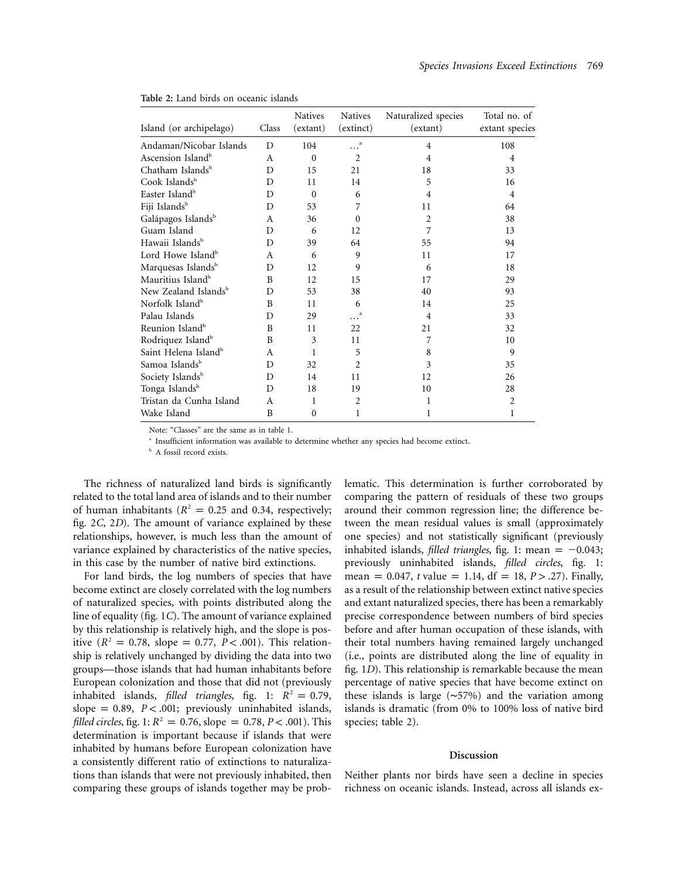| Island (or archipelago)          | Class | <b>Natives</b><br>(extant) | <b>Natives</b><br>(extinct) | Naturalized species<br>(extant) | Total no. of<br>extant species |
|----------------------------------|-------|----------------------------|-----------------------------|---------------------------------|--------------------------------|
| Andaman/Nicobar Islands          | D     | 104                        | a                           | 4                               | 108                            |
| Ascension Island <sup>b</sup>    | A     | $\theta$                   | 2                           | 4                               | $\overline{4}$                 |
| Chatham Islands <sup>b</sup>     | D     | 15                         | 21                          | 18                              | 33                             |
| Cook Islands <sup>b</sup>        | D     | 11                         | 14                          | 5                               | 16                             |
| Easter Island <sup>b</sup>       | D     | $\Omega$                   | 6                           | 4                               | 4                              |
| Fiji Islands <sup>b</sup>        | D     | 53                         | 7                           | 11                              | 64                             |
| Galápagos Islands <sup>b</sup>   | A     | 36                         | $\Omega$                    | 2                               | 38                             |
| Guam Island                      | D     | 6                          | 12                          | 7                               | 13                             |
| Hawaii Islands <sup>b</sup>      | D     | 39                         | 64                          | 55                              | 94                             |
| Lord Howe Island <sup>b</sup>    | A     | 6                          | 9                           | 11                              | 17                             |
| Marquesas Islands <sup>b</sup>   | D     | 12                         | 9                           | 6                               | 18                             |
| Mauritius Island <sup>ь</sup>    | B     | 12                         | 15                          | 17                              | 29                             |
| New Zealand Islands <sup>b</sup> | D     | 53                         | 38                          | 40                              | 93                             |
| Norfolk Island <sup>b</sup>      | B     | 11                         | 6                           | 14                              | 25                             |
| Palau Islands                    | D     | 29                         | <sup>a</sup>                | $\overline{4}$                  | 33                             |
| Reunion Island <sup>b</sup>      | B     | 11                         | 22                          | 21                              | 32                             |
| Rodriquez Island <sup>b</sup>    | B     | 3                          | 11                          | 7                               | 10                             |
| Saint Helena Island <sup>b</sup> | A     | 1                          | 5                           | 8                               | 9                              |
| Samoa Islands <sup>b</sup>       | D     | 32                         | $\overline{2}$              | 3                               | 35                             |
| Society Islands <sup>b</sup>     | D     | 14                         | 11                          | 12                              | 26                             |
| Tonga Islands <sup>b</sup>       | D     | 18                         | 19                          | 10                              | 28                             |
| Tristan da Cunha Island          | А     | 1                          | 2                           | 1                               | $\overline{2}$                 |
| Wake Island                      | B     | $\boldsymbol{0}$           | 1                           | 1                               | 1                              |

**Table 2:** Land birds on oceanic islands

Note: "Classes" are the same as in table 1.

<sup>a</sup> Insufficient information was available to determine whether any species had become extinct.

**b** A fossil record exists.

The richness of naturalized land birds is significantly related to the total land area of islands and to their number of human inhabitants ( $R^2 = 0.25$  and 0.34, respectively; fig. 2*C*, 2*D*). The amount of variance explained by these relationships, however, is much less than the amount of variance explained by characteristics of the native species, in this case by the number of native bird extinctions.

For land birds, the log numbers of species that have become extinct are closely correlated with the log numbers of naturalized species, with points distributed along the line of equality (fig. 1*C*). The amount of variance explained by this relationship is relatively high, and the slope is positive  $(R^2 = 0.78,$  slope = 0.77,  $P < .001$ ). This relationship is relatively unchanged by dividing the data into two groups—those islands that had human inhabitants before European colonization and those that did not (previously inhabited islands, *filled triangles*, fig. 1:  $R^2 = 0.79$ , slope =  $0.89$ ,  $P < .001$ ; previously uninhabited islands, *filled circles, fig.*  $1: R^2 = 0.76$ , slope = 0.78,  $P < .001$ ). This determination is important because if islands that were inhabited by humans before European colonization have a consistently different ratio of extinctions to naturalizations than islands that were not previously inhabited, then comparing these groups of islands together may be problematic. This determination is further corroborated by comparing the pattern of residuals of these two groups around their common regression line; the difference between the mean residual values is small (approximately one species) and not statistically significant (previously inhabited islands, *filled triangles*, fig. 1: mean  $= -0.043$ ; previously uninhabited islands, *filled circles*, fig. 1: mean = 0.047, *t* value = 1.14,  $df = 18$ , *P* > .27). Finally, as a result of the relationship between extinct native species and extant naturalized species, there has been a remarkably precise correspondence between numbers of bird species before and after human occupation of these islands, with their total numbers having remained largely unchanged (i.e., points are distributed along the line of equality in fig. 1*D*). This relationship is remarkable because the mean percentage of native species that have become extinct on these islands is large (∼57%) and the variation among islands is dramatic (from 0% to 100% loss of native bird species; table 2).

## **Discussion**

Neither plants nor birds have seen a decline in species richness on oceanic islands. Instead, across all islands ex-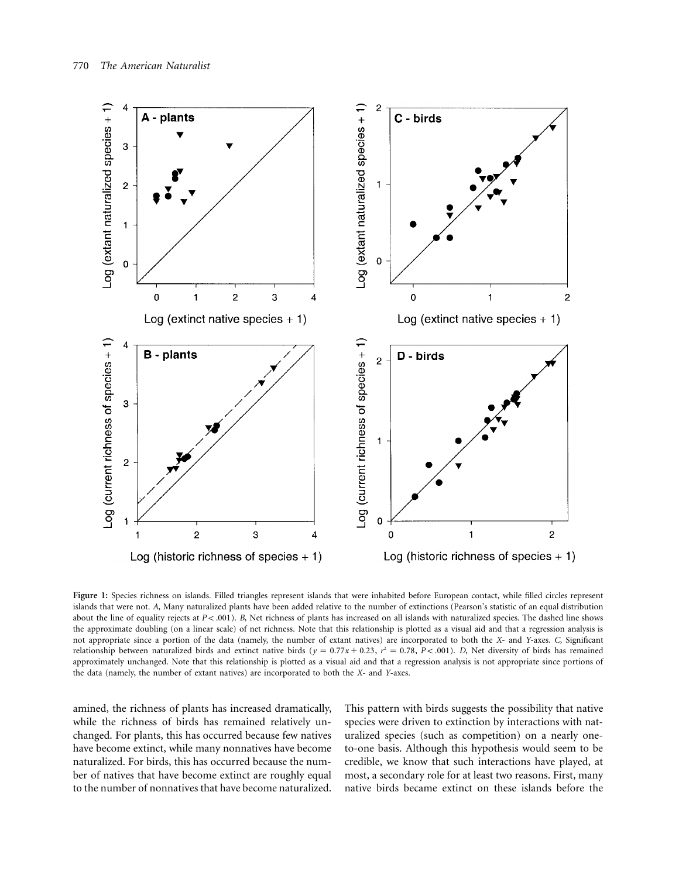

Figure 1: Species richness on islands. Filled triangles represent islands that were inhabited before European contact, while filled circles represent islands that were not. *A*, Many naturalized plants have been added relative to the number of extinctions (Pearson's statistic of an equal distribution about the line of equality rejects at  $P < .001$ ). *B*, Net richness of plants has increased on all islands with naturalized species. The dashed line shows the approximate doubling (on a linear scale) of net richness. Note that this relationship is plotted as a visual aid and that a regression analysis is not appropriate since a portion of the data (namely, the number of extant natives) are incorporated to both the *X*- and *Y*-axes. *C*, Significant relationship between naturalized birds and extinct native birds ( $y = 0.77x + 0.23$ ,  $r^2 = 0.78$ ,  $P < .001$ ). *D*, Net diversity of birds has remained approximately unchanged. Note that this relationship is plotted as a visual aid and that a regression analysis is not appropriate since portions of the data (namely, the number of extant natives) are incorporated to both the *X*- and *Y*-axes.

amined, the richness of plants has increased dramatically, while the richness of birds has remained relatively unchanged. For plants, this has occurred because few natives have become extinct, while many nonnatives have become naturalized. For birds, this has occurred because the number of natives that have become extinct are roughly equal to the number of nonnatives that have become naturalized. This pattern with birds suggests the possibility that native species were driven to extinction by interactions with naturalized species (such as competition) on a nearly oneto-one basis. Although this hypothesis would seem to be credible, we know that such interactions have played, at most, a secondary role for at least two reasons. First, many native birds became extinct on these islands before the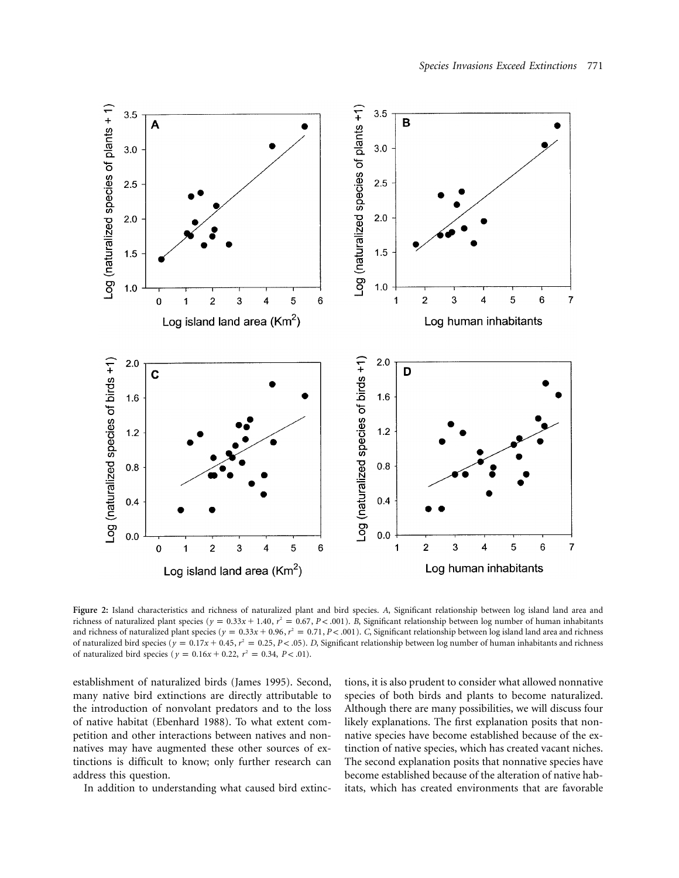

**Figure 2:** Island characteristics and richness of naturalized plant and bird species. *A*, Significant relationship between log island land area and richness of naturalized plant species ( $y = 0.33x + 1.40$ ,  $r^2 = 0.67$ ,  $P < .001$ ). B, Significant relationship between log number of human inhabitants and richness of naturalized plant species ( $y = 0.33x + 0.96$ ,  $r^2 = 0.71$ ,  $P < .001$ ). *C*, Significant relationship between log island land area and richness of naturalized bird species ( $y = 0.17x + 0.45$ ,  $r^2 = 0.25$ ,  $P < .05$ ). *D*, Significant relationship between log number of human inhabitants and richness of naturalized bird species ( $y = 0.16x + 0.22$ ,  $r^2 = 0.34$ ,  $P < .01$ ).

establishment of naturalized birds (James 1995). Second, many native bird extinctions are directly attributable to the introduction of nonvolant predators and to the loss of native habitat (Ebenhard 1988). To what extent competition and other interactions between natives and nonnatives may have augmented these other sources of extinctions is difficult to know; only further research can address this question.

In addition to understanding what caused bird extinc-

tions, it is also prudent to consider what allowed nonnative species of both birds and plants to become naturalized. Although there are many possibilities, we will discuss four likely explanations. The first explanation posits that nonnative species have become established because of the extinction of native species, which has created vacant niches. The second explanation posits that nonnative species have become established because of the alteration of native habitats, which has created environments that are favorable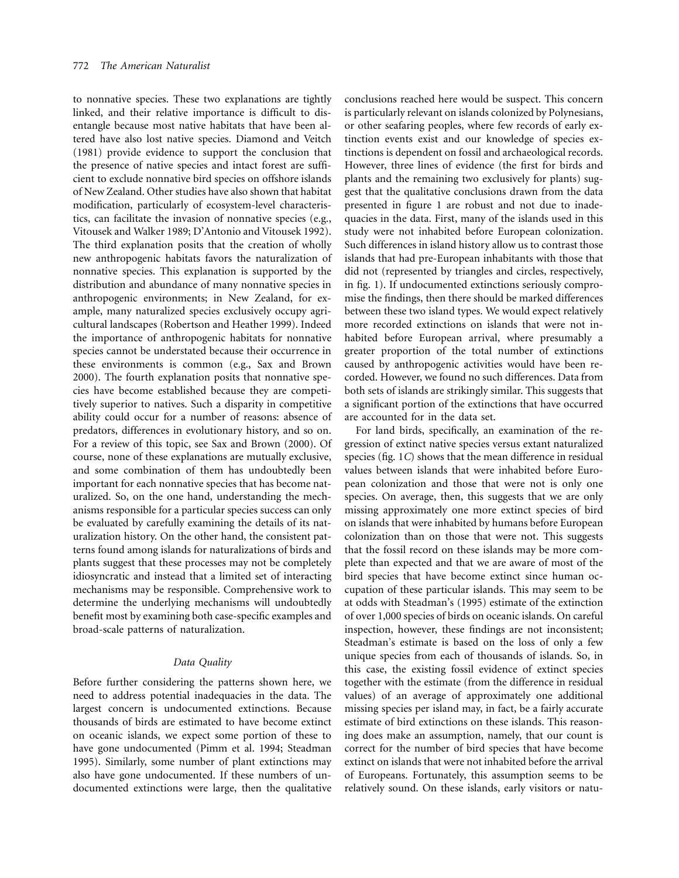to nonnative species. These two explanations are tightly linked, and their relative importance is difficult to disentangle because most native habitats that have been altered have also lost native species. Diamond and Veitch (1981) provide evidence to support the conclusion that the presence of native species and intact forest are sufficient to exclude nonnative bird species on offshore islands of New Zealand. Other studies have also shown that habitat modification, particularly of ecosystem-level characteristics, can facilitate the invasion of nonnative species (e.g., Vitousek and Walker 1989; D'Antonio and Vitousek 1992). The third explanation posits that the creation of wholly new anthropogenic habitats favors the naturalization of nonnative species. This explanation is supported by the distribution and abundance of many nonnative species in anthropogenic environments; in New Zealand, for example, many naturalized species exclusively occupy agricultural landscapes (Robertson and Heather 1999). Indeed the importance of anthropogenic habitats for nonnative species cannot be understated because their occurrence in these environments is common (e.g., Sax and Brown 2000). The fourth explanation posits that nonnative species have become established because they are competitively superior to natives. Such a disparity in competitive ability could occur for a number of reasons: absence of predators, differences in evolutionary history, and so on. For a review of this topic, see Sax and Brown (2000). Of course, none of these explanations are mutually exclusive, and some combination of them has undoubtedly been important for each nonnative species that has become naturalized. So, on the one hand, understanding the mechanisms responsible for a particular species success can only be evaluated by carefully examining the details of its naturalization history. On the other hand, the consistent patterns found among islands for naturalizations of birds and plants suggest that these processes may not be completely idiosyncratic and instead that a limited set of interacting mechanisms may be responsible. Comprehensive work to determine the underlying mechanisms will undoubtedly benefit most by examining both case-specific examples and broad-scale patterns of naturalization.

## *Data Quality*

Before further considering the patterns shown here, we need to address potential inadequacies in the data. The largest concern is undocumented extinctions. Because thousands of birds are estimated to have become extinct on oceanic islands, we expect some portion of these to have gone undocumented (Pimm et al. 1994; Steadman 1995). Similarly, some number of plant extinctions may also have gone undocumented. If these numbers of undocumented extinctions were large, then the qualitative conclusions reached here would be suspect. This concern is particularly relevant on islands colonized by Polynesians, or other seafaring peoples, where few records of early extinction events exist and our knowledge of species extinctions is dependent on fossil and archaeological records. However, three lines of evidence (the first for birds and plants and the remaining two exclusively for plants) suggest that the qualitative conclusions drawn from the data presented in figure 1 are robust and not due to inadequacies in the data. First, many of the islands used in this study were not inhabited before European colonization. Such differences in island history allow us to contrast those islands that had pre-European inhabitants with those that did not (represented by triangles and circles, respectively, in fig. 1). If undocumented extinctions seriously compromise the findings, then there should be marked differences between these two island types. We would expect relatively more recorded extinctions on islands that were not inhabited before European arrival, where presumably a greater proportion of the total number of extinctions caused by anthropogenic activities would have been recorded. However, we found no such differences. Data from both sets of islands are strikingly similar. This suggests that a significant portion of the extinctions that have occurred are accounted for in the data set.

For land birds, specifically, an examination of the regression of extinct native species versus extant naturalized species (fig. 1*C*) shows that the mean difference in residual values between islands that were inhabited before European colonization and those that were not is only one species. On average, then, this suggests that we are only missing approximately one more extinct species of bird on islands that were inhabited by humans before European colonization than on those that were not. This suggests that the fossil record on these islands may be more complete than expected and that we are aware of most of the bird species that have become extinct since human occupation of these particular islands. This may seem to be at odds with Steadman's (1995) estimate of the extinction of over 1,000 species of birds on oceanic islands. On careful inspection, however, these findings are not inconsistent; Steadman's estimate is based on the loss of only a few unique species from each of thousands of islands. So, in this case, the existing fossil evidence of extinct species together with the estimate (from the difference in residual values) of an average of approximately one additional missing species per island may, in fact, be a fairly accurate estimate of bird extinctions on these islands. This reasoning does make an assumption, namely, that our count is correct for the number of bird species that have become extinct on islands that were not inhabited before the arrival of Europeans. Fortunately, this assumption seems to be relatively sound. On these islands, early visitors or natu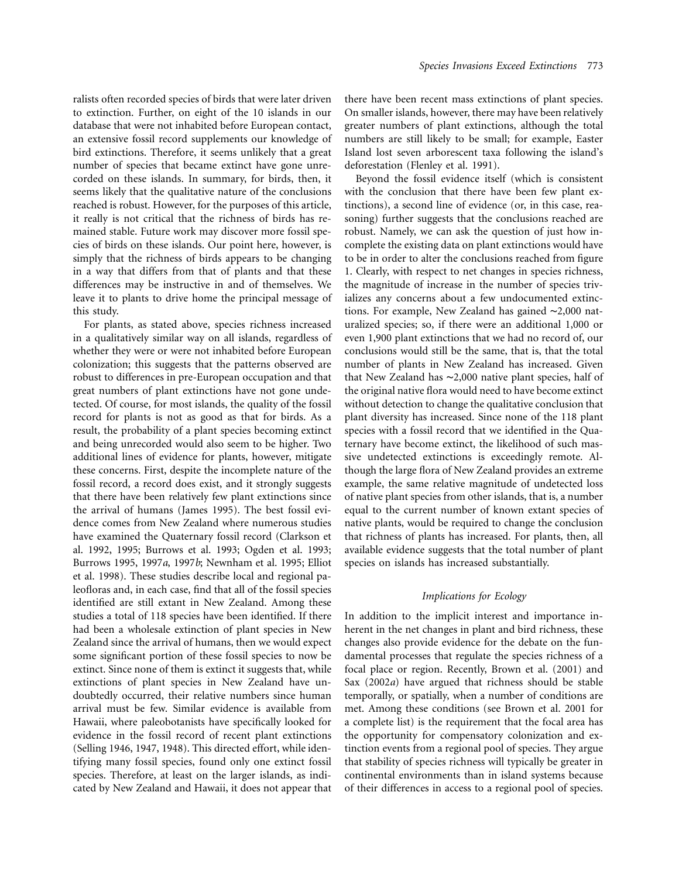ralists often recorded species of birds that were later driven to extinction. Further, on eight of the 10 islands in our database that were not inhabited before European contact, an extensive fossil record supplements our knowledge of bird extinctions. Therefore, it seems unlikely that a great number of species that became extinct have gone unrecorded on these islands. In summary, for birds, then, it seems likely that the qualitative nature of the conclusions reached is robust. However, for the purposes of this article, it really is not critical that the richness of birds has remained stable. Future work may discover more fossil species of birds on these islands. Our point here, however, is simply that the richness of birds appears to be changing in a way that differs from that of plants and that these differences may be instructive in and of themselves. We leave it to plants to drive home the principal message of this study.

For plants, as stated above, species richness increased in a qualitatively similar way on all islands, regardless of whether they were or were not inhabited before European colonization; this suggests that the patterns observed are robust to differences in pre-European occupation and that great numbers of plant extinctions have not gone undetected. Of course, for most islands, the quality of the fossil record for plants is not as good as that for birds. As a result, the probability of a plant species becoming extinct and being unrecorded would also seem to be higher. Two additional lines of evidence for plants, however, mitigate these concerns. First, despite the incomplete nature of the fossil record, a record does exist, and it strongly suggests that there have been relatively few plant extinctions since the arrival of humans (James 1995). The best fossil evidence comes from New Zealand where numerous studies have examined the Quaternary fossil record (Clarkson et al. 1992, 1995; Burrows et al. 1993; Ogden et al. 1993; Burrows 1995, 1997*a*, 1997*b*; Newnham et al. 1995; Elliot et al. 1998). These studies describe local and regional paleofloras and, in each case, find that all of the fossil species identified are still extant in New Zealand. Among these studies a total of 118 species have been identified. If there had been a wholesale extinction of plant species in New Zealand since the arrival of humans, then we would expect some significant portion of these fossil species to now be extinct. Since none of them is extinct it suggests that, while extinctions of plant species in New Zealand have undoubtedly occurred, their relative numbers since human arrival must be few. Similar evidence is available from Hawaii, where paleobotanists have specifically looked for evidence in the fossil record of recent plant extinctions (Selling 1946, 1947, 1948). This directed effort, while identifying many fossil species, found only one extinct fossil species. Therefore, at least on the larger islands, as indicated by New Zealand and Hawaii, it does not appear that

there have been recent mass extinctions of plant species. On smaller islands, however, there may have been relatively greater numbers of plant extinctions, although the total numbers are still likely to be small; for example, Easter Island lost seven arborescent taxa following the island's deforestation (Flenley et al. 1991).

Beyond the fossil evidence itself (which is consistent with the conclusion that there have been few plant extinctions), a second line of evidence (or, in this case, reasoning) further suggests that the conclusions reached are robust. Namely, we can ask the question of just how incomplete the existing data on plant extinctions would have to be in order to alter the conclusions reached from figure 1. Clearly, with respect to net changes in species richness, the magnitude of increase in the number of species trivializes any concerns about a few undocumented extinctions. For example, New Zealand has gained ∼2,000 naturalized species; so, if there were an additional 1,000 or even 1,900 plant extinctions that we had no record of, our conclusions would still be the same, that is, that the total number of plants in New Zealand has increased. Given that New Zealand has ∼2,000 native plant species, half of the original native flora would need to have become extinct without detection to change the qualitative conclusion that plant diversity has increased. Since none of the 118 plant species with a fossil record that we identified in the Quaternary have become extinct, the likelihood of such massive undetected extinctions is exceedingly remote. Although the large flora of New Zealand provides an extreme example, the same relative magnitude of undetected loss of native plant species from other islands, that is, a number equal to the current number of known extant species of native plants, would be required to change the conclusion that richness of plants has increased. For plants, then, all available evidence suggests that the total number of plant species on islands has increased substantially.

### *Implications for Ecology*

In addition to the implicit interest and importance inherent in the net changes in plant and bird richness, these changes also provide evidence for the debate on the fundamental processes that regulate the species richness of a focal place or region. Recently, Brown et al. (2001) and Sax (2002*a*) have argued that richness should be stable temporally, or spatially, when a number of conditions are met. Among these conditions (see Brown et al. 2001 for a complete list) is the requirement that the focal area has the opportunity for compensatory colonization and extinction events from a regional pool of species. They argue that stability of species richness will typically be greater in continental environments than in island systems because of their differences in access to a regional pool of species.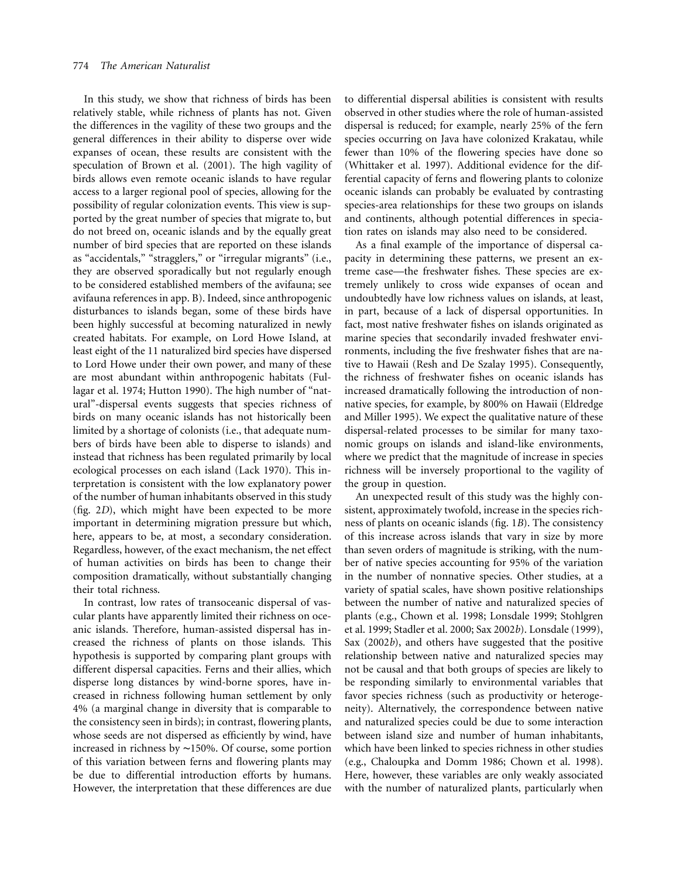In this study, we show that richness of birds has been relatively stable, while richness of plants has not. Given the differences in the vagility of these two groups and the general differences in their ability to disperse over wide expanses of ocean, these results are consistent with the speculation of Brown et al. (2001). The high vagility of birds allows even remote oceanic islands to have regular access to a larger regional pool of species, allowing for the possibility of regular colonization events. This view is supported by the great number of species that migrate to, but do not breed on, oceanic islands and by the equally great number of bird species that are reported on these islands as "accidentals," "stragglers," or "irregular migrants" (i.e., they are observed sporadically but not regularly enough to be considered established members of the avifauna; see avifauna references in app. B). Indeed, since anthropogenic disturbances to islands began, some of these birds have been highly successful at becoming naturalized in newly created habitats. For example, on Lord Howe Island, at least eight of the 11 naturalized bird species have dispersed to Lord Howe under their own power, and many of these are most abundant within anthropogenic habitats (Fullagar et al. 1974; Hutton 1990). The high number of "natural"-dispersal events suggests that species richness of birds on many oceanic islands has not historically been limited by a shortage of colonists (i.e., that adequate numbers of birds have been able to disperse to islands) and instead that richness has been regulated primarily by local ecological processes on each island (Lack 1970). This interpretation is consistent with the low explanatory power of the number of human inhabitants observed in this study (fig. 2*D*), which might have been expected to be more important in determining migration pressure but which, here, appears to be, at most, a secondary consideration. Regardless, however, of the exact mechanism, the net effect of human activities on birds has been to change their composition dramatically, without substantially changing their total richness.

In contrast, low rates of transoceanic dispersal of vascular plants have apparently limited their richness on oceanic islands. Therefore, human-assisted dispersal has increased the richness of plants on those islands. This hypothesis is supported by comparing plant groups with different dispersal capacities. Ferns and their allies, which disperse long distances by wind-borne spores, have increased in richness following human settlement by only 4% (a marginal change in diversity that is comparable to the consistency seen in birds); in contrast, flowering plants, whose seeds are not dispersed as efficiently by wind, have increased in richness by ∼150%. Of course, some portion of this variation between ferns and flowering plants may be due to differential introduction efforts by humans. However, the interpretation that these differences are due

to differential dispersal abilities is consistent with results observed in other studies where the role of human-assisted dispersal is reduced; for example, nearly 25% of the fern species occurring on Java have colonized Krakatau, while fewer than 10% of the flowering species have done so (Whittaker et al. 1997). Additional evidence for the differential capacity of ferns and flowering plants to colonize oceanic islands can probably be evaluated by contrasting species-area relationships for these two groups on islands and continents, although potential differences in speciation rates on islands may also need to be considered.

As a final example of the importance of dispersal capacity in determining these patterns, we present an extreme case—the freshwater fishes. These species are extremely unlikely to cross wide expanses of ocean and undoubtedly have low richness values on islands, at least, in part, because of a lack of dispersal opportunities. In fact, most native freshwater fishes on islands originated as marine species that secondarily invaded freshwater environments, including the five freshwater fishes that are native to Hawaii (Resh and De Szalay 1995). Consequently, the richness of freshwater fishes on oceanic islands has increased dramatically following the introduction of nonnative species, for example, by 800% on Hawaii (Eldredge and Miller 1995). We expect the qualitative nature of these dispersal-related processes to be similar for many taxonomic groups on islands and island-like environments, where we predict that the magnitude of increase in species richness will be inversely proportional to the vagility of the group in question.

An unexpected result of this study was the highly consistent, approximately twofold, increase in the species richness of plants on oceanic islands (fig. 1*B*). The consistency of this increase across islands that vary in size by more than seven orders of magnitude is striking, with the number of native species accounting for 95% of the variation in the number of nonnative species. Other studies, at a variety of spatial scales, have shown positive relationships between the number of native and naturalized species of plants (e.g., Chown et al. 1998; Lonsdale 1999; Stohlgren et al. 1999; Stadler et al. 2000; Sax 2002*b*). Lonsdale (1999), Sax (2002*b*), and others have suggested that the positive relationship between native and naturalized species may not be causal and that both groups of species are likely to be responding similarly to environmental variables that favor species richness (such as productivity or heterogeneity). Alternatively, the correspondence between native and naturalized species could be due to some interaction between island size and number of human inhabitants, which have been linked to species richness in other studies (e.g., Chaloupka and Domm 1986; Chown et al. 1998). Here, however, these variables are only weakly associated with the number of naturalized plants, particularly when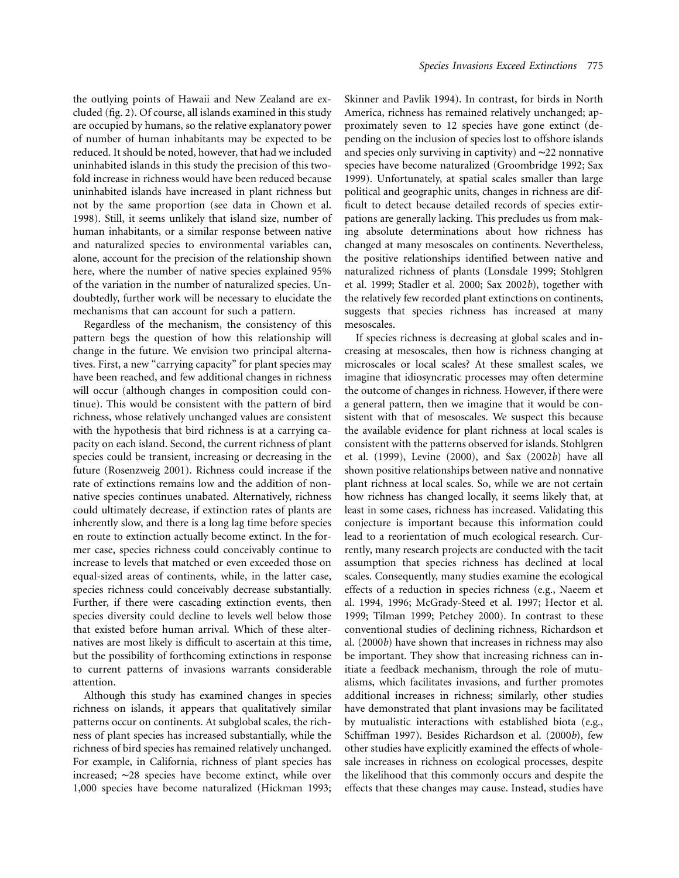the outlying points of Hawaii and New Zealand are excluded (fig. 2). Of course, all islands examined in this study are occupied by humans, so the relative explanatory power of number of human inhabitants may be expected to be reduced. It should be noted, however, that had we included uninhabited islands in this study the precision of this twofold increase in richness would have been reduced because uninhabited islands have increased in plant richness but not by the same proportion (see data in Chown et al. 1998). Still, it seems unlikely that island size, number of human inhabitants, or a similar response between native and naturalized species to environmental variables can, alone, account for the precision of the relationship shown here, where the number of native species explained 95% of the variation in the number of naturalized species. Undoubtedly, further work will be necessary to elucidate the mechanisms that can account for such a pattern.

Regardless of the mechanism, the consistency of this pattern begs the question of how this relationship will change in the future. We envision two principal alternatives. First, a new "carrying capacity" for plant species may have been reached, and few additional changes in richness will occur (although changes in composition could continue). This would be consistent with the pattern of bird richness, whose relatively unchanged values are consistent with the hypothesis that bird richness is at a carrying capacity on each island. Second, the current richness of plant species could be transient, increasing or decreasing in the future (Rosenzweig 2001). Richness could increase if the rate of extinctions remains low and the addition of nonnative species continues unabated. Alternatively, richness could ultimately decrease, if extinction rates of plants are inherently slow, and there is a long lag time before species en route to extinction actually become extinct. In the former case, species richness could conceivably continue to increase to levels that matched or even exceeded those on equal-sized areas of continents, while, in the latter case, species richness could conceivably decrease substantially. Further, if there were cascading extinction events, then species diversity could decline to levels well below those that existed before human arrival. Which of these alternatives are most likely is difficult to ascertain at this time, but the possibility of forthcoming extinctions in response to current patterns of invasions warrants considerable attention.

Although this study has examined changes in species richness on islands, it appears that qualitatively similar patterns occur on continents. At subglobal scales, the richness of plant species has increased substantially, while the richness of bird species has remained relatively unchanged. For example, in California, richness of plant species has increased; ∼28 species have become extinct, while over 1,000 species have become naturalized (Hickman 1993; Skinner and Pavlik 1994). In contrast, for birds in North America, richness has remained relatively unchanged; approximately seven to 12 species have gone extinct (depending on the inclusion of species lost to offshore islands and species only surviving in captivity) and ∼22 nonnative species have become naturalized (Groombridge 1992; Sax 1999). Unfortunately, at spatial scales smaller than large political and geographic units, changes in richness are difficult to detect because detailed records of species extirpations are generally lacking. This precludes us from making absolute determinations about how richness has changed at many mesoscales on continents. Nevertheless, the positive relationships identified between native and naturalized richness of plants (Lonsdale 1999; Stohlgren et al. 1999; Stadler et al. 2000; Sax 2002*b*), together with the relatively few recorded plant extinctions on continents, suggests that species richness has increased at many mesoscales.

If species richness is decreasing at global scales and increasing at mesoscales, then how is richness changing at microscales or local scales? At these smallest scales, we imagine that idiosyncratic processes may often determine the outcome of changes in richness. However, if there were a general pattern, then we imagine that it would be consistent with that of mesoscales. We suspect this because the available evidence for plant richness at local scales is consistent with the patterns observed for islands. Stohlgren et al. (1999), Levine (2000), and Sax (2002*b*) have all shown positive relationships between native and nonnative plant richness at local scales. So, while we are not certain how richness has changed locally, it seems likely that, at least in some cases, richness has increased. Validating this conjecture is important because this information could lead to a reorientation of much ecological research. Currently, many research projects are conducted with the tacit assumption that species richness has declined at local scales. Consequently, many studies examine the ecological effects of a reduction in species richness (e.g., Naeem et al. 1994, 1996; McGrady-Steed et al. 1997; Hector et al. 1999; Tilman 1999; Petchey 2000). In contrast to these conventional studies of declining richness, Richardson et al. (2000*b*) have shown that increases in richness may also be important. They show that increasing richness can initiate a feedback mechanism, through the role of mutualisms, which facilitates invasions, and further promotes additional increases in richness; similarly, other studies have demonstrated that plant invasions may be facilitated by mutualistic interactions with established biota (e.g., Schiffman 1997). Besides Richardson et al. (2000*b*), few other studies have explicitly examined the effects of wholesale increases in richness on ecological processes, despite the likelihood that this commonly occurs and despite the effects that these changes may cause. Instead, studies have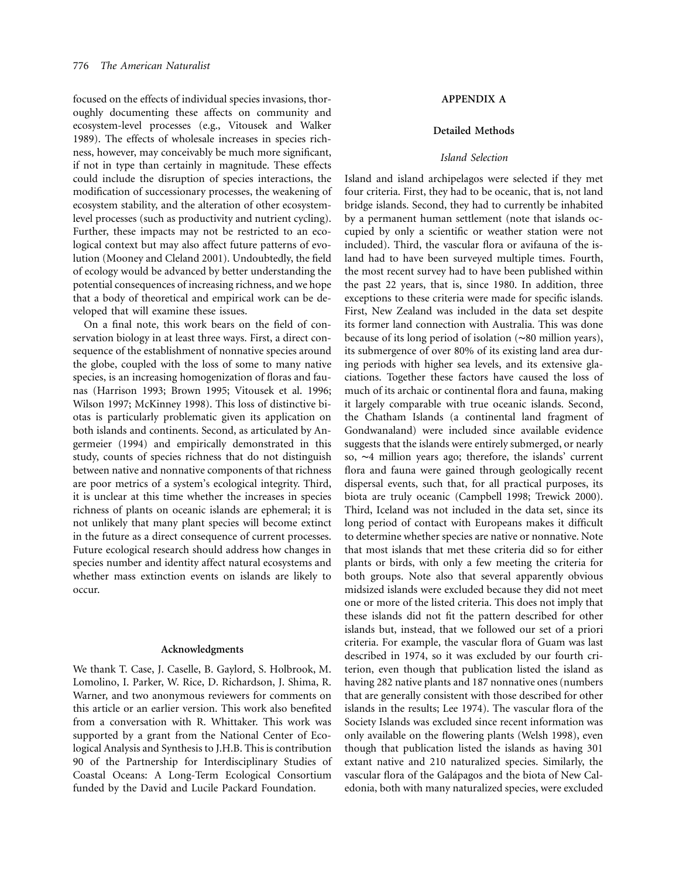focused on the effects of individual species invasions, thoroughly documenting these affects on community and ecosystem-level processes (e.g., Vitousek and Walker 1989). The effects of wholesale increases in species richness, however, may conceivably be much more significant, if not in type than certainly in magnitude. These effects could include the disruption of species interactions, the modification of successionary processes, the weakening of ecosystem stability, and the alteration of other ecosystemlevel processes (such as productivity and nutrient cycling). Further, these impacts may not be restricted to an ecological context but may also affect future patterns of evolution (Mooney and Cleland 2001). Undoubtedly, the field of ecology would be advanced by better understanding the potential consequences of increasing richness, and we hope that a body of theoretical and empirical work can be developed that will examine these issues.

On a final note, this work bears on the field of conservation biology in at least three ways. First, a direct consequence of the establishment of nonnative species around the globe, coupled with the loss of some to many native species, is an increasing homogenization of floras and faunas (Harrison 1993; Brown 1995; Vitousek et al. 1996; Wilson 1997; McKinney 1998). This loss of distinctive biotas is particularly problematic given its application on both islands and continents. Second, as articulated by Angermeier (1994) and empirically demonstrated in this study, counts of species richness that do not distinguish between native and nonnative components of that richness are poor metrics of a system's ecological integrity. Third, it is unclear at this time whether the increases in species richness of plants on oceanic islands are ephemeral; it is not unlikely that many plant species will become extinct in the future as a direct consequence of current processes. Future ecological research should address how changes in species number and identity affect natural ecosystems and whether mass extinction events on islands are likely to occur.

#### **Acknowledgments**

We thank T. Case, J. Caselle, B. Gaylord, S. Holbrook, M. Lomolino, I. Parker, W. Rice, D. Richardson, J. Shima, R. Warner, and two anonymous reviewers for comments on this article or an earlier version. This work also benefited from a conversation with R. Whittaker. This work was supported by a grant from the National Center of Ecological Analysis and Synthesis to J.H.B. This is contribution 90 of the Partnership for Interdisciplinary Studies of Coastal Oceans: A Long-Term Ecological Consortium funded by the David and Lucile Packard Foundation.

## **APPENDIX A**

## **Detailed Methods**

## *Island Selection*

Island and island archipelagos were selected if they met four criteria. First, they had to be oceanic, that is, not land bridge islands. Second, they had to currently be inhabited by a permanent human settlement (note that islands occupied by only a scientific or weather station were not included). Third, the vascular flora or avifauna of the island had to have been surveyed multiple times. Fourth, the most recent survey had to have been published within the past 22 years, that is, since 1980. In addition, three exceptions to these criteria were made for specific islands. First, New Zealand was included in the data set despite its former land connection with Australia. This was done because of its long period of isolation (∼80 million years), its submergence of over 80% of its existing land area during periods with higher sea levels, and its extensive glaciations. Together these factors have caused the loss of much of its archaic or continental flora and fauna, making it largely comparable with true oceanic islands. Second, the Chatham Islands (a continental land fragment of Gondwanaland) were included since available evidence suggests that the islands were entirely submerged, or nearly so, ∼4 million years ago; therefore, the islands' current flora and fauna were gained through geologically recent dispersal events, such that, for all practical purposes, its biota are truly oceanic (Campbell 1998; Trewick 2000). Third, Iceland was not included in the data set, since its long period of contact with Europeans makes it difficult to determine whether species are native or nonnative. Note that most islands that met these criteria did so for either plants or birds, with only a few meeting the criteria for both groups. Note also that several apparently obvious midsized islands were excluded because they did not meet one or more of the listed criteria. This does not imply that these islands did not fit the pattern described for other islands but, instead, that we followed our set of a priori criteria. For example, the vascular flora of Guam was last described in 1974, so it was excluded by our fourth criterion, even though that publication listed the island as having 282 native plants and 187 nonnative ones (numbers that are generally consistent with those described for other islands in the results; Lee 1974). The vascular flora of the Society Islands was excluded since recent information was only available on the flowering plants (Welsh 1998), even though that publication listed the islands as having 301 extant native and 210 naturalized species. Similarly, the vascular flora of the Galápagos and the biota of New Caledonia, both with many naturalized species, were excluded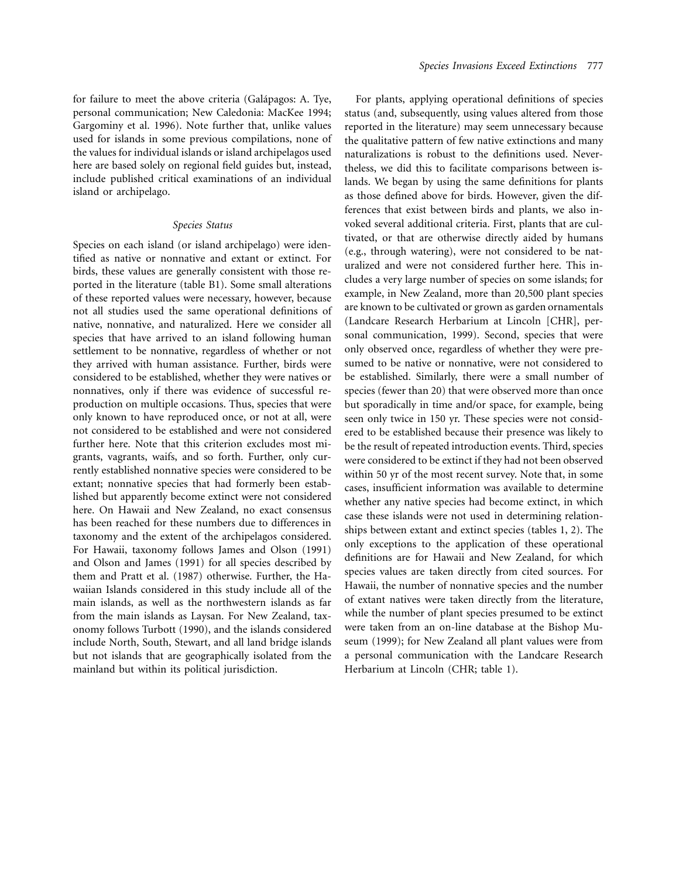for failure to meet the above criteria (Galápagos: A. Tye, personal communication; New Caledonia: MacKee 1994; Gargominy et al. 1996). Note further that, unlike values used for islands in some previous compilations, none of the values for individual islands or island archipelagos used here are based solely on regional field guides but, instead, include published critical examinations of an individual island or archipelago.

## *Species Status*

Species on each island (or island archipelago) were identified as native or nonnative and extant or extinct. For birds, these values are generally consistent with those reported in the literature (table B1). Some small alterations of these reported values were necessary, however, because not all studies used the same operational definitions of native, nonnative, and naturalized. Here we consider all species that have arrived to an island following human settlement to be nonnative, regardless of whether or not they arrived with human assistance. Further, birds were considered to be established, whether they were natives or nonnatives, only if there was evidence of successful reproduction on multiple occasions. Thus, species that were only known to have reproduced once, or not at all, were not considered to be established and were not considered further here. Note that this criterion excludes most migrants, vagrants, waifs, and so forth. Further, only currently established nonnative species were considered to be extant; nonnative species that had formerly been established but apparently become extinct were not considered here. On Hawaii and New Zealand, no exact consensus has been reached for these numbers due to differences in taxonomy and the extent of the archipelagos considered. For Hawaii, taxonomy follows James and Olson (1991) and Olson and James (1991) for all species described by them and Pratt et al. (1987) otherwise. Further, the Hawaiian Islands considered in this study include all of the main islands, as well as the northwestern islands as far from the main islands as Laysan. For New Zealand, taxonomy follows Turbott (1990), and the islands considered include North, South, Stewart, and all land bridge islands but not islands that are geographically isolated from the mainland but within its political jurisdiction.

For plants, applying operational definitions of species status (and, subsequently, using values altered from those reported in the literature) may seem unnecessary because the qualitative pattern of few native extinctions and many naturalizations is robust to the definitions used. Nevertheless, we did this to facilitate comparisons between islands. We began by using the same definitions for plants as those defined above for birds. However, given the differences that exist between birds and plants, we also invoked several additional criteria. First, plants that are cultivated, or that are otherwise directly aided by humans (e.g., through watering), were not considered to be naturalized and were not considered further here. This includes a very large number of species on some islands; for example, in New Zealand, more than 20,500 plant species are known to be cultivated or grown as garden ornamentals (Landcare Research Herbarium at Lincoln [CHR], personal communication, 1999). Second, species that were only observed once, regardless of whether they were presumed to be native or nonnative, were not considered to be established. Similarly, there were a small number of species (fewer than 20) that were observed more than once but sporadically in time and/or space, for example, being seen only twice in 150 yr. These species were not considered to be established because their presence was likely to be the result of repeated introduction events. Third, species were considered to be extinct if they had not been observed within 50 yr of the most recent survey. Note that, in some cases, insufficient information was available to determine whether any native species had become extinct, in which case these islands were not used in determining relationships between extant and extinct species (tables 1, 2). The only exceptions to the application of these operational definitions are for Hawaii and New Zealand, for which species values are taken directly from cited sources. For Hawaii, the number of nonnative species and the number of extant natives were taken directly from the literature, while the number of plant species presumed to be extinct were taken from an on-line database at the Bishop Museum (1999); for New Zealand all plant values were from a personal communication with the Landcare Research Herbarium at Lincoln (CHR; table 1).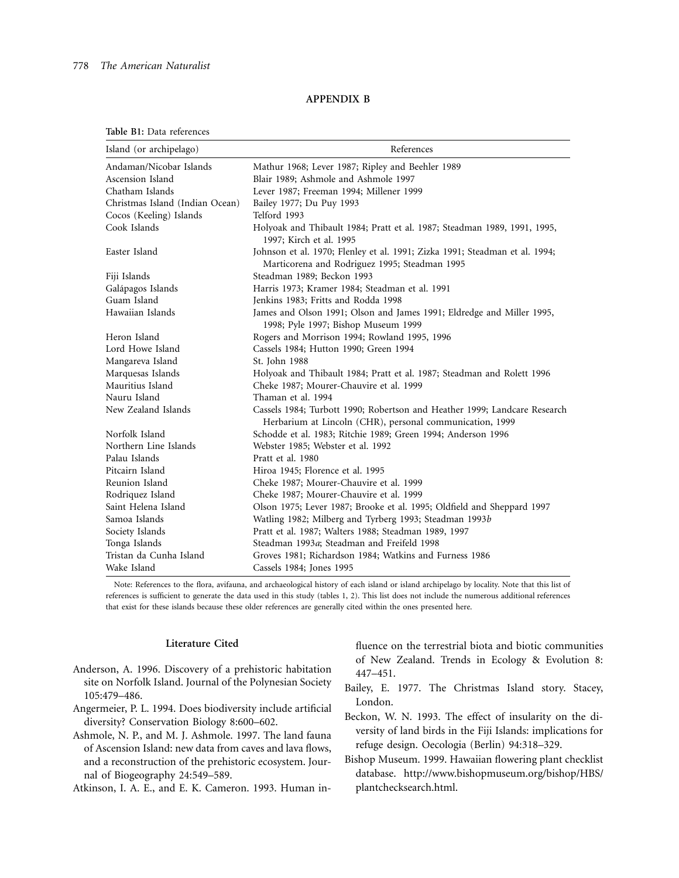## **APPENDIX B**

|  | Table B1: Data references |
|--|---------------------------|
|  |                           |

| Island (or archipelago)         | References                                                                                                                            |  |  |  |
|---------------------------------|---------------------------------------------------------------------------------------------------------------------------------------|--|--|--|
| Andaman/Nicobar Islands         | Mathur 1968; Lever 1987; Ripley and Beehler 1989                                                                                      |  |  |  |
| Ascension Island                | Blair 1989; Ashmole and Ashmole 1997                                                                                                  |  |  |  |
| Chatham Islands                 | Lever 1987; Freeman 1994; Millener 1999                                                                                               |  |  |  |
| Christmas Island (Indian Ocean) | Bailey 1977; Du Puy 1993                                                                                                              |  |  |  |
| Cocos (Keeling) Islands         | Telford 1993                                                                                                                          |  |  |  |
| Cook Islands                    | Holyoak and Thibault 1984; Pratt et al. 1987; Steadman 1989, 1991, 1995,<br>1997; Kirch et al. 1995                                   |  |  |  |
| Easter Island                   | Johnson et al. 1970; Flenley et al. 1991; Zizka 1991; Steadman et al. 1994;<br>Marticorena and Rodriguez 1995; Steadman 1995          |  |  |  |
| Fiji Islands                    | Steadman 1989; Beckon 1993                                                                                                            |  |  |  |
| Galápagos Islands               | Harris 1973; Kramer 1984; Steadman et al. 1991                                                                                        |  |  |  |
| Guam Island                     | Jenkins 1983; Fritts and Rodda 1998                                                                                                   |  |  |  |
| Hawaiian Islands                | James and Olson 1991; Olson and James 1991; Eldredge and Miller 1995,<br>1998; Pyle 1997; Bishop Museum 1999                          |  |  |  |
| Heron Island                    | Rogers and Morrison 1994; Rowland 1995, 1996                                                                                          |  |  |  |
| Lord Howe Island                | Cassels 1984; Hutton 1990; Green 1994                                                                                                 |  |  |  |
| Mangareva Island                | St. John 1988                                                                                                                         |  |  |  |
| Marquesas Islands               | Holyoak and Thibault 1984; Pratt et al. 1987; Steadman and Rolett 1996                                                                |  |  |  |
| Mauritius Island                | Cheke 1987; Mourer-Chauvire et al. 1999                                                                                               |  |  |  |
| Nauru Island                    | Thaman et al. 1994                                                                                                                    |  |  |  |
| New Zealand Islands             | Cassels 1984; Turbott 1990; Robertson and Heather 1999; Landcare Research<br>Herbarium at Lincoln (CHR), personal communication, 1999 |  |  |  |
| Norfolk Island                  | Schodde et al. 1983; Ritchie 1989; Green 1994; Anderson 1996                                                                          |  |  |  |
| Northern Line Islands           | Webster 1985; Webster et al. 1992                                                                                                     |  |  |  |
| Palau Islands                   | Pratt et al. 1980                                                                                                                     |  |  |  |
| Pitcairn Island                 | Hiroa 1945; Florence et al. 1995                                                                                                      |  |  |  |
| Reunion Island                  | Cheke 1987; Mourer-Chauvire et al. 1999                                                                                               |  |  |  |
| Rodriquez Island                | Cheke 1987; Mourer-Chauvire et al. 1999                                                                                               |  |  |  |
| Saint Helena Island             | Olson 1975; Lever 1987; Brooke et al. 1995; Oldfield and Sheppard 1997                                                                |  |  |  |
| Samoa Islands                   | Watling 1982; Milberg and Tyrberg 1993; Steadman 1993b                                                                                |  |  |  |
| Society Islands                 | Pratt et al. 1987; Walters 1988; Steadman 1989, 1997                                                                                  |  |  |  |
| Tonga Islands                   | Steadman 1993a; Steadman and Freifeld 1998                                                                                            |  |  |  |
| Tristan da Cunha Island         | Groves 1981; Richardson 1984; Watkins and Furness 1986                                                                                |  |  |  |
| Wake Island                     | Cassels 1984; Jones 1995                                                                                                              |  |  |  |

Note: References to the flora, avifauna, and archaeological history of each island or island archipelago by locality. Note that this list of references is sufficient to generate the data used in this study (tables 1, 2). This list does not include the numerous additional references that exist for these islands because these older references are generally cited within the ones presented here.

#### **Literature Cited**

- Anderson, A. 1996. Discovery of a prehistoric habitation site on Norfolk Island. Journal of the Polynesian Society 105:479–486.
- Angermeier, P. L. 1994. Does biodiversity include artificial diversity? Conservation Biology 8:600–602.
- Ashmole, N. P., and M. J. Ashmole. 1997. The land fauna of Ascension Island: new data from caves and lava flows, and a reconstruction of the prehistoric ecosystem. Journal of Biogeography 24:549–589.
- Atkinson, I. A. E., and E. K. Cameron. 1993. Human in-

fluence on the terrestrial biota and biotic communities of New Zealand. Trends in Ecology & Evolution 8: 447–451.

- Bailey, E. 1977. The Christmas Island story. Stacey, London.
- Beckon, W. N. 1993. The effect of insularity on the diversity of land birds in the Fiji Islands: implications for refuge design. Oecologia (Berlin) 94:318–329.
- Bishop Museum. 1999. Hawaiian flowering plant checklist database. http://www.bishopmuseum.org/bishop/HBS/ plantchecksearch.html.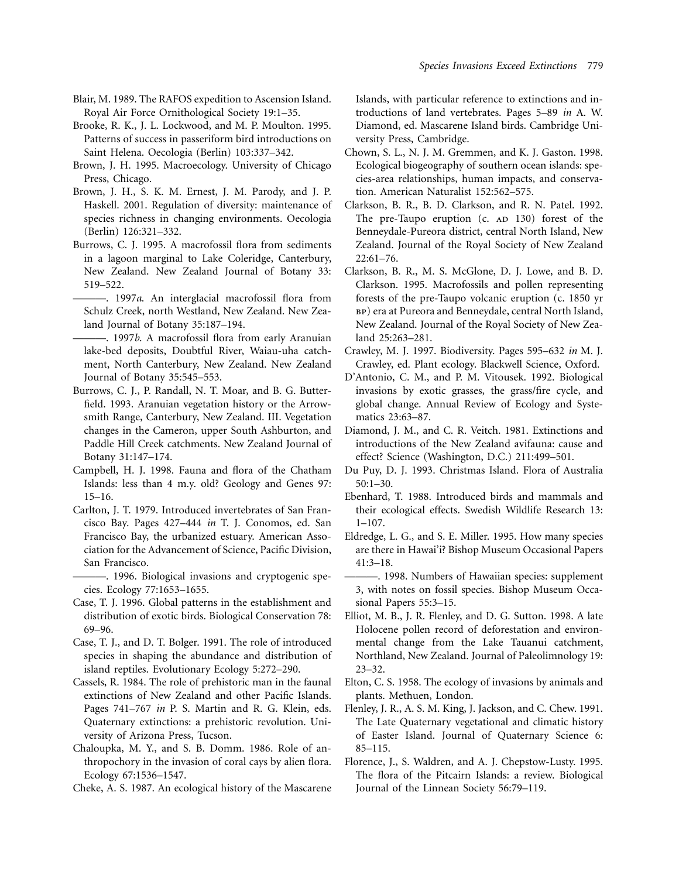- Blair, M. 1989. The RAFOS expedition to Ascension Island. Royal Air Force Ornithological Society 19:1–35.
- Brooke, R. K., J. L. Lockwood, and M. P. Moulton. 1995. Patterns of success in passeriform bird introductions on Saint Helena. Oecologia (Berlin) 103:337–342.
- Brown, J. H. 1995. Macroecology. University of Chicago Press, Chicago.
- Brown, J. H., S. K. M. Ernest, J. M. Parody, and J. P. Haskell. 2001. Regulation of diversity: maintenance of species richness in changing environments. Oecologia (Berlin) 126:321–332.
- Burrows, C. J. 1995. A macrofossil flora from sediments in a lagoon marginal to Lake Coleridge, Canterbury, New Zealand. New Zealand Journal of Botany 33: 519–522.
- ———. 1997*a*. An interglacial macrofossil flora from Schulz Creek, north Westland, New Zealand. New Zealand Journal of Botany 35:187–194.
- ———. 1997*b*. A macrofossil flora from early Aranuian lake-bed deposits, Doubtful River, Waiau-uha catchment, North Canterbury, New Zealand. New Zealand Journal of Botany 35:545–553.
- Burrows, C. J., P. Randall, N. T. Moar, and B. G. Butterfield. 1993. Aranuian vegetation history or the Arrowsmith Range, Canterbury, New Zealand. III. Vegetation changes in the Cameron, upper South Ashburton, and Paddle Hill Creek catchments. New Zealand Journal of Botany 31:147–174.
- Campbell, H. J. 1998. Fauna and flora of the Chatham Islands: less than 4 m.y. old? Geology and Genes 97: 15–16.
- Carlton, J. T. 1979. Introduced invertebrates of San Francisco Bay. Pages 427–444 *in* T. J. Conomos, ed. San Francisco Bay, the urbanized estuary. American Association for the Advancement of Science, Pacific Division, San Francisco.
- ———. 1996. Biological invasions and cryptogenic species. Ecology 77:1653–1655.
- Case, T. J. 1996. Global patterns in the establishment and distribution of exotic birds. Biological Conservation 78: 69–96.
- Case, T. J., and D. T. Bolger. 1991. The role of introduced species in shaping the abundance and distribution of island reptiles. Evolutionary Ecology 5:272–290.
- Cassels, R. 1984. The role of prehistoric man in the faunal extinctions of New Zealand and other Pacific Islands. Pages 741–767 *in* P. S. Martin and R. G. Klein, eds. Quaternary extinctions: a prehistoric revolution. University of Arizona Press, Tucson.
- Chaloupka, M. Y., and S. B. Domm. 1986. Role of anthropochory in the invasion of coral cays by alien flora. Ecology 67:1536–1547.
- Cheke, A. S. 1987. An ecological history of the Mascarene

Islands, with particular reference to extinctions and introductions of land vertebrates. Pages 5–89 *in* A. W. Diamond, ed. Mascarene Island birds. Cambridge University Press, Cambridge.

- Chown, S. L., N. J. M. Gremmen, and K. J. Gaston. 1998. Ecological biogeography of southern ocean islands: species-area relationships, human impacts, and conservation. American Naturalist 152:562–575.
- Clarkson, B. R., B. D. Clarkson, and R. N. Patel. 1992. The pre-Taupo eruption (c. AD 130) forest of the Benneydale-Pureora district, central North Island, New Zealand. Journal of the Royal Society of New Zealand 22:61–76.
- Clarkson, B. R., M. S. McGlone, D. J. Lowe, and B. D. Clarkson. 1995. Macrofossils and pollen representing forests of the pre-Taupo volcanic eruption (c. 1850 yr BP) era at Pureora and Benneydale, central North Island, New Zealand. Journal of the Royal Society of New Zealand 25:263–281.
- Crawley, M. J. 1997. Biodiversity. Pages 595–632 *in* M. J. Crawley, ed. Plant ecology. Blackwell Science, Oxford.
- D'Antonio, C. M., and P. M. Vitousek. 1992. Biological invasions by exotic grasses, the grass/fire cycle, and global change. Annual Review of Ecology and Systematics 23:63–87.
- Diamond, J. M., and C. R. Veitch. 1981. Extinctions and introductions of the New Zealand avifauna: cause and effect? Science (Washington, D.C.) 211:499–501.
- Du Puy, D. J. 1993. Christmas Island. Flora of Australia 50:1–30.
- Ebenhard, T. 1988. Introduced birds and mammals and their ecological effects. Swedish Wildlife Research 13: 1–107.
- Eldredge, L. G., and S. E. Miller. 1995. How many species are there in Hawai'i? Bishop Museum Occasional Papers 41:3–18.
- ———. 1998. Numbers of Hawaiian species: supplement 3, with notes on fossil species. Bishop Museum Occasional Papers 55:3–15.
- Elliot, M. B., J. R. Flenley, and D. G. Sutton. 1998. A late Holocene pollen record of deforestation and environmental change from the Lake Tauanui catchment, Northland, New Zealand. Journal of Paleolimnology 19: 23–32.
- Elton, C. S. 1958. The ecology of invasions by animals and plants. Methuen, London.
- Flenley, J. R., A. S. M. King, J. Jackson, and C. Chew. 1991. The Late Quaternary vegetational and climatic history of Easter Island. Journal of Quaternary Science 6: 85–115.
- Florence, J., S. Waldren, and A. J. Chepstow-Lusty. 1995. The flora of the Pitcairn Islands: a review. Biological Journal of the Linnean Society 56:79–119.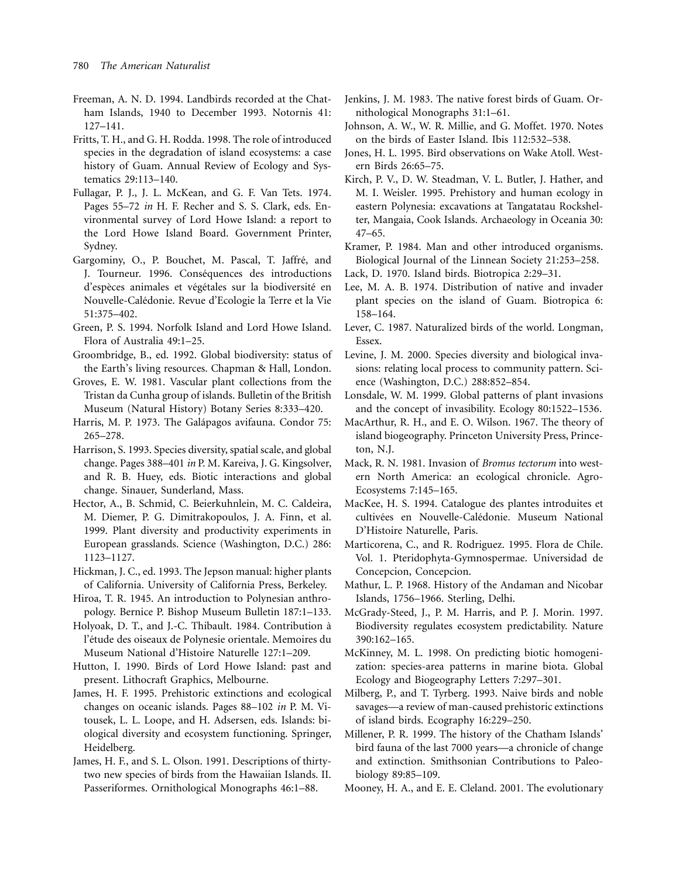- Freeman, A. N. D. 1994. Landbirds recorded at the Chatham Islands, 1940 to December 1993. Notornis 41: 127–141.
- Fritts, T. H., and G. H. Rodda. 1998. The role of introduced species in the degradation of island ecosystems: a case history of Guam. Annual Review of Ecology and Systematics 29:113–140.
- Fullagar, P. J., J. L. McKean, and G. F. Van Tets. 1974. Pages 55–72 *in* H. F. Recher and S. S. Clark, eds. Environmental survey of Lord Howe Island: a report to the Lord Howe Island Board. Government Printer, Sydney.
- Gargominy, O., P. Bouchet, M. Pascal, T. Jaffré, and J. Tourneur. 1996. Conséquences des introductions d'espèces animales et végétales sur la biodiversité en Nouvelle-Cale´donie. Revue d'Ecologie la Terre et la Vie 51:375–402.
- Green, P. S. 1994. Norfolk Island and Lord Howe Island. Flora of Australia 49:1–25.
- Groombridge, B., ed. 1992. Global biodiversity: status of the Earth's living resources. Chapman & Hall, London.
- Groves, E. W. 1981. Vascular plant collections from the Tristan da Cunha group of islands. Bulletin of the British Museum (Natural History) Botany Series 8:333–420.
- Harris, M. P. 1973. The Galápagos avifauna. Condor 75: 265–278.
- Harrison, S. 1993. Species diversity, spatial scale, and global change. Pages 388–401 *in* P. M. Kareiva, J. G. Kingsolver, and R. B. Huey, eds. Biotic interactions and global change. Sinauer, Sunderland, Mass.
- Hector, A., B. Schmid, C. Beierkuhnlein, M. C. Caldeira, M. Diemer, P. G. Dimitrakopoulos, J. A. Finn, et al. 1999. Plant diversity and productivity experiments in European grasslands. Science (Washington, D.C.) 286: 1123–1127.
- Hickman, J. C., ed. 1993. The Jepson manual: higher plants of California. University of California Press, Berkeley.
- Hiroa, T. R. 1945. An introduction to Polynesian anthropology. Bernice P. Bishop Museum Bulletin 187:1–133.
- Holyoak, D. T., and J.-C. Thibault. 1984. Contribution a` l'étude des oiseaux de Polynesie orientale. Memoires du Museum National d'Histoire Naturelle 127:1–209.

Hutton, I. 1990. Birds of Lord Howe Island: past and present. Lithocraft Graphics, Melbourne.

- James, H. F. 1995. Prehistoric extinctions and ecological changes on oceanic islands. Pages 88–102 *in* P. M. Vitousek, L. L. Loope, and H. Adsersen, eds. Islands: biological diversity and ecosystem functioning. Springer, Heidelberg.
- James, H. F., and S. L. Olson. 1991. Descriptions of thirtytwo new species of birds from the Hawaiian Islands. II. Passeriformes. Ornithological Monographs 46:1–88.
- Jenkins, J. M. 1983. The native forest birds of Guam. Ornithological Monographs 31:1–61.
- Johnson, A. W., W. R. Millie, and G. Moffet. 1970. Notes on the birds of Easter Island. Ibis 112:532–538.
- Jones, H. L. 1995. Bird observations on Wake Atoll. Western Birds 26:65–75.
- Kirch, P. V., D. W. Steadman, V. L. Butler, J. Hather, and M. I. Weisler. 1995. Prehistory and human ecology in eastern Polynesia: excavations at Tangatatau Rockshelter, Mangaia, Cook Islands. Archaeology in Oceania 30: 47–65.
- Kramer, P. 1984. Man and other introduced organisms. Biological Journal of the Linnean Society 21:253–258.
- Lack, D. 1970. Island birds. Biotropica 2:29–31.
- Lee, M. A. B. 1974. Distribution of native and invader plant species on the island of Guam. Biotropica 6: 158–164.
- Lever, C. 1987. Naturalized birds of the world. Longman, Essex.
- Levine, J. M. 2000. Species diversity and biological invasions: relating local process to community pattern. Science (Washington, D.C.) 288:852–854.
- Lonsdale, W. M. 1999. Global patterns of plant invasions and the concept of invasibility. Ecology 80:1522–1536.
- MacArthur, R. H., and E. O. Wilson. 1967. The theory of island biogeography. Princeton University Press, Princeton, N.J.
- Mack, R. N. 1981. Invasion of *Bromus tectorum* into western North America: an ecological chronicle. Agro-Ecosystems 7:145–165.
- MacKee, H. S. 1994. Catalogue des plantes introduites et cultivées en Nouvelle-Calédonie. Museum National D'Histoire Naturelle, Paris.
- Marticorena, C., and R. Rodriguez. 1995. Flora de Chile. Vol. 1. Pteridophyta-Gymnospermae. Universidad de Concepcion, Concepcion.
- Mathur, L. P. 1968. History of the Andaman and Nicobar Islands, 1756–1966. Sterling, Delhi.
- McGrady-Steed, J., P. M. Harris, and P. J. Morin. 1997. Biodiversity regulates ecosystem predictability. Nature 390:162–165.
- McKinney, M. L. 1998. On predicting biotic homogenization: species-area patterns in marine biota. Global Ecology and Biogeography Letters 7:297–301.
- Milberg, P., and T. Tyrberg. 1993. Naive birds and noble savages—a review of man-caused prehistoric extinctions of island birds. Ecography 16:229–250.
- Millener, P. R. 1999. The history of the Chatham Islands' bird fauna of the last 7000 years—a chronicle of change and extinction. Smithsonian Contributions to Paleobiology 89:85–109.
- Mooney, H. A., and E. E. Cleland. 2001. The evolutionary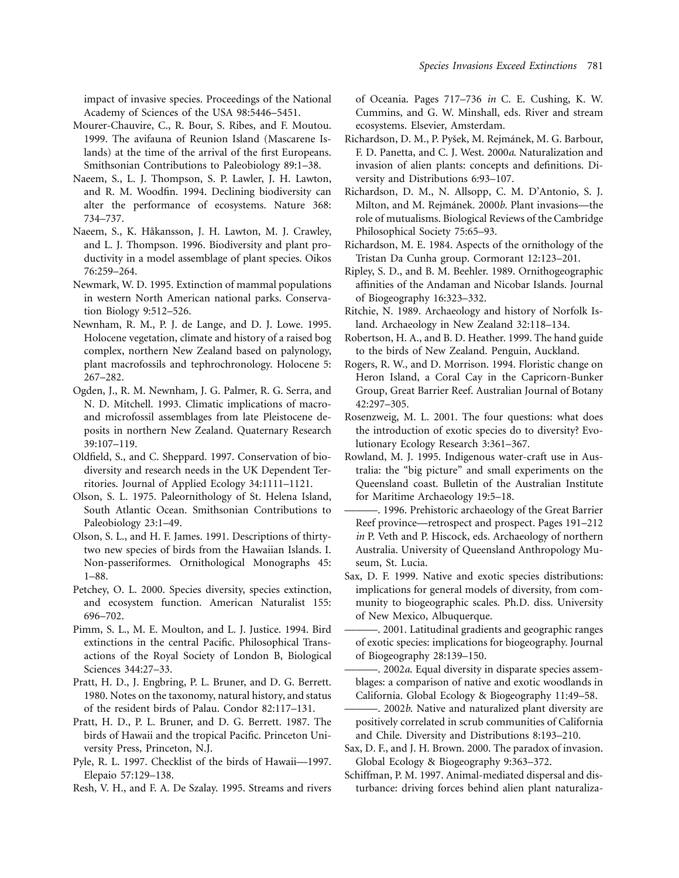impact of invasive species. Proceedings of the National Academy of Sciences of the USA 98:5446–5451.

- Mourer-Chauvire, C., R. Bour, S. Ribes, and F. Moutou. 1999. The avifauna of Reunion Island (Mascarene Islands) at the time of the arrival of the first Europeans. Smithsonian Contributions to Paleobiology 89:1–38.
- Naeem, S., L. J. Thompson, S. P. Lawler, J. H. Lawton, and R. M. Woodfin. 1994. Declining biodiversity can alter the performance of ecosystems. Nature 368: 734–737.
- Naeem, S., K. Håkansson, J. H. Lawton, M. J. Crawley, and L. J. Thompson. 1996. Biodiversity and plant productivity in a model assemblage of plant species. Oikos 76:259–264.
- Newmark, W. D. 1995. Extinction of mammal populations in western North American national parks. Conservation Biology 9:512–526.
- Newnham, R. M., P. J. de Lange, and D. J. Lowe. 1995. Holocene vegetation, climate and history of a raised bog complex, northern New Zealand based on palynology, plant macrofossils and tephrochronology. Holocene 5: 267–282.
- Ogden, J., R. M. Newnham, J. G. Palmer, R. G. Serra, and N. D. Mitchell. 1993. Climatic implications of macroand microfossil assemblages from late Pleistocene deposits in northern New Zealand. Quaternary Research 39:107–119.
- Oldfield, S., and C. Sheppard. 1997. Conservation of biodiversity and research needs in the UK Dependent Territories. Journal of Applied Ecology 34:1111–1121.
- Olson, S. L. 1975. Paleornithology of St. Helena Island, South Atlantic Ocean. Smithsonian Contributions to Paleobiology 23:1–49.
- Olson, S. L., and H. F. James. 1991. Descriptions of thirtytwo new species of birds from the Hawaiian Islands. I. Non-passeriformes. Ornithological Monographs 45: 1–88.
- Petchey, O. L. 2000. Species diversity, species extinction, and ecosystem function. American Naturalist 155: 696–702.
- Pimm, S. L., M. E. Moulton, and L. J. Justice. 1994. Bird extinctions in the central Pacific. Philosophical Transactions of the Royal Society of London B, Biological Sciences 344:27–33.
- Pratt, H. D., J. Engbring, P. L. Bruner, and D. G. Berrett. 1980. Notes on the taxonomy, natural history, and status of the resident birds of Palau. Condor 82:117–131.
- Pratt, H. D., P. L. Bruner, and D. G. Berrett. 1987. The birds of Hawaii and the tropical Pacific. Princeton University Press, Princeton, N.J.
- Pyle, R. L. 1997. Checklist of the birds of Hawaii—1997. Elepaio 57:129–138.

Resh, V. H., and F. A. De Szalay. 1995. Streams and rivers

of Oceania. Pages 717–736 *in* C. E. Cushing, K. W. Cummins, and G. W. Minshall, eds. River and stream ecosystems. Elsevier, Amsterdam.

- Richardson, D. M., P. Pyšek, M. Rejmánek, M. G. Barbour, F. D. Panetta, and C. J. West. 2000*a*. Naturalization and invasion of alien plants: concepts and definitions. Diversity and Distributions 6:93–107.
- Richardson, D. M., N. Allsopp, C. M. D'Antonio, S. J. Milton, and M. Rejmánek. 2000*b*. Plant invasions—the role of mutualisms. Biological Reviews of the Cambridge Philosophical Society 75:65–93.
- Richardson, M. E. 1984. Aspects of the ornithology of the Tristan Da Cunha group. Cormorant 12:123–201.
- Ripley, S. D., and B. M. Beehler. 1989. Ornithogeographic affinities of the Andaman and Nicobar Islands. Journal of Biogeography 16:323–332.
- Ritchie, N. 1989. Archaeology and history of Norfolk Island. Archaeology in New Zealand 32:118–134.
- Robertson, H. A., and B. D. Heather. 1999. The hand guide to the birds of New Zealand. Penguin, Auckland.
- Rogers, R. W., and D. Morrison. 1994. Floristic change on Heron Island, a Coral Cay in the Capricorn-Bunker Group, Great Barrier Reef. Australian Journal of Botany 42:297–305.
- Rosenzweig, M. L. 2001. The four questions: what does the introduction of exotic species do to diversity? Evolutionary Ecology Research 3:361–367.
- Rowland, M. J. 1995. Indigenous water-craft use in Australia: the "big picture" and small experiments on the Queensland coast. Bulletin of the Australian Institute for Maritime Archaeology 19:5–18.
- -. 1996. Prehistoric archaeology of the Great Barrier Reef province—retrospect and prospect. Pages 191–212 *in* P. Veth and P. Hiscock, eds. Archaeology of northern Australia. University of Queensland Anthropology Museum, St. Lucia.
- Sax, D. F. 1999. Native and exotic species distributions: implications for general models of diversity, from community to biogeographic scales. Ph.D. diss. University of New Mexico, Albuquerque.
- -. 2001. Latitudinal gradients and geographic ranges of exotic species: implications for biogeography. Journal of Biogeography 28:139–150.
- ———. 2002*a*. Equal diversity in disparate species assemblages: a comparison of native and exotic woodlands in California. Global Ecology & Biogeography 11:49–58.
- ———. 2002*b*. Native and naturalized plant diversity are positively correlated in scrub communities of California and Chile. Diversity and Distributions 8:193–210.
- Sax, D. F., and J. H. Brown. 2000. The paradox of invasion. Global Ecology & Biogeography 9:363–372.
- Schiffman, P. M. 1997. Animal-mediated dispersal and disturbance: driving forces behind alien plant naturaliza-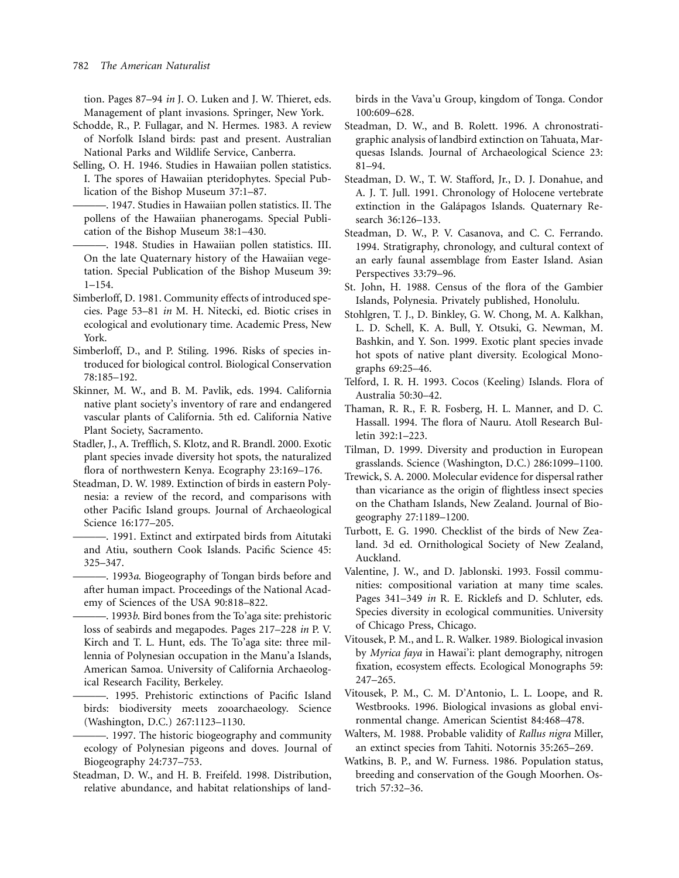tion. Pages 87–94 *in* J. O. Luken and J. W. Thieret, eds. Management of plant invasions. Springer, New York.

- Schodde, R., P. Fullagar, and N. Hermes. 1983. A review of Norfolk Island birds: past and present. Australian National Parks and Wildlife Service, Canberra.
- Selling, O. H. 1946. Studies in Hawaiian pollen statistics. I. The spores of Hawaiian pteridophytes. Special Publication of the Bishop Museum 37:1–87.
- ———. 1947. Studies in Hawaiian pollen statistics. II. The pollens of the Hawaiian phanerogams. Special Publication of the Bishop Museum 38:1–430.
- ———. 1948. Studies in Hawaiian pollen statistics. III. On the late Quaternary history of the Hawaiian vegetation. Special Publication of the Bishop Museum 39: 1–154.
- Simberloff, D. 1981. Community effects of introduced species. Page 53–81 *in* M. H. Nitecki, ed. Biotic crises in ecological and evolutionary time. Academic Press, New York.
- Simberloff, D., and P. Stiling. 1996. Risks of species introduced for biological control. Biological Conservation 78:185–192.
- Skinner, M. W., and B. M. Pavlik, eds. 1994. California native plant society's inventory of rare and endangered vascular plants of California. 5th ed. California Native Plant Society, Sacramento.
- Stadler, J., A. Trefflich, S. Klotz, and R. Brandl. 2000. Exotic plant species invade diversity hot spots, the naturalized flora of northwestern Kenya. Ecography 23:169–176.
- Steadman, D. W. 1989. Extinction of birds in eastern Polynesia: a review of the record, and comparisons with other Pacific Island groups. Journal of Archaeological Science 16:177–205.

-. 1991. Extinct and extirpated birds from Aitutaki and Atiu, southern Cook Islands. Pacific Science 45: 325–347.

- ———. 1993*a*. Biogeography of Tongan birds before and after human impact. Proceedings of the National Academy of Sciences of the USA 90:818–822.
- ———. 1993*b*. Bird bones from the To'aga site: prehistoric loss of seabirds and megapodes. Pages 217–228 *in* P. V. Kirch and T. L. Hunt, eds. The To'aga site: three millennia of Polynesian occupation in the Manu'a Islands, American Samoa. University of California Archaeological Research Facility, Berkeley.
- ———. 1995. Prehistoric extinctions of Pacific Island birds: biodiversity meets zooarchaeology. Science (Washington, D.C.) 267:1123–1130.
- -. 1997. The historic biogeography and community ecology of Polynesian pigeons and doves. Journal of Biogeography 24:737–753.
- Steadman, D. W., and H. B. Freifeld. 1998. Distribution, relative abundance, and habitat relationships of land-

birds in the Vava'u Group, kingdom of Tonga. Condor 100:609–628.

- Steadman, D. W., and B. Rolett. 1996. A chronostratigraphic analysis of landbird extinction on Tahuata, Marquesas Islands. Journal of Archaeological Science 23: 81–94.
- Steadman, D. W., T. W. Stafford, Jr., D. J. Donahue, and A. J. T. Jull. 1991. Chronology of Holocene vertebrate extinction in the Galápagos Islands. Quaternary Research 36:126–133.
- Steadman, D. W., P. V. Casanova, and C. C. Ferrando. 1994. Stratigraphy, chronology, and cultural context of an early faunal assemblage from Easter Island. Asian Perspectives 33:79–96.
- St. John, H. 1988. Census of the flora of the Gambier Islands, Polynesia. Privately published, Honolulu.
- Stohlgren, T. J., D. Binkley, G. W. Chong, M. A. Kalkhan, L. D. Schell, K. A. Bull, Y. Otsuki, G. Newman, M. Bashkin, and Y. Son. 1999. Exotic plant species invade hot spots of native plant diversity. Ecological Monographs 69:25–46.
- Telford, I. R. H. 1993. Cocos (Keeling) Islands. Flora of Australia 50:30–42.
- Thaman, R. R., F. R. Fosberg, H. L. Manner, and D. C. Hassall. 1994. The flora of Nauru. Atoll Research Bulletin 392:1–223.
- Tilman, D. 1999. Diversity and production in European grasslands. Science (Washington, D.C.) 286:1099–1100.
- Trewick, S. A. 2000. Molecular evidence for dispersal rather than vicariance as the origin of flightless insect species on the Chatham Islands, New Zealand. Journal of Biogeography 27:1189–1200.
- Turbott, E. G. 1990. Checklist of the birds of New Zealand. 3d ed. Ornithological Society of New Zealand, Auckland.
- Valentine, J. W., and D. Jablonski. 1993. Fossil communities: compositional variation at many time scales. Pages 341–349 *in* R. E. Ricklefs and D. Schluter, eds. Species diversity in ecological communities. University of Chicago Press, Chicago.
- Vitousek, P. M., and L. R. Walker. 1989. Biological invasion by *Myrica faya* in Hawai'i: plant demography, nitrogen fixation, ecosystem effects. Ecological Monographs 59: 247–265.
- Vitousek, P. M., C. M. D'Antonio, L. L. Loope, and R. Westbrooks. 1996. Biological invasions as global environmental change. American Scientist 84:468–478.
- Walters, M. 1988. Probable validity of *Rallus nigra* Miller, an extinct species from Tahiti. Notornis 35:265–269.
- Watkins, B. P., and W. Furness. 1986. Population status, breeding and conservation of the Gough Moorhen. Ostrich 57:32–36.